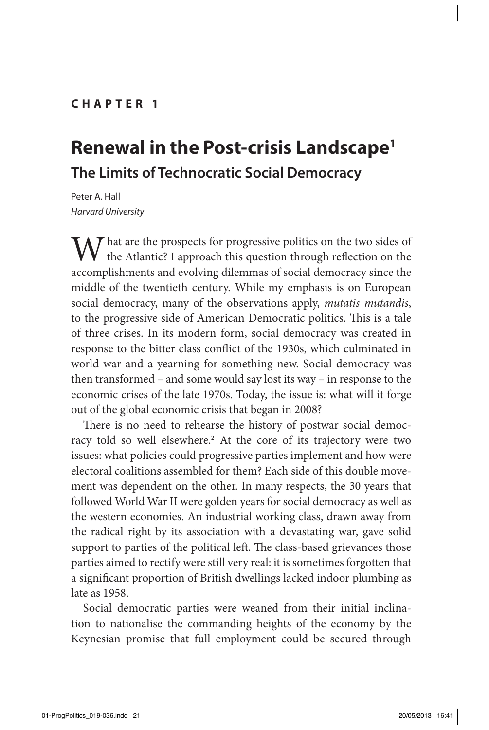In *Progressive Politics after the Crash*, edited by O. Crame, P. Diamond, R. Liddle and M. McTernan. London: IB Tauris September 2013).

## **cha pte r 1**

# **Renewal in the Post-crisis Landscape1 The Limits of Technocratic Social Democracy**

Peter A. Hall *Harvard University*

 $\mathcal T$  hat are the prospects for progressive politics on the two sides of the Atlantic? I approach this question through reflection on the accomplishments and evolving dilemmas of social democracy since the middle of the twentieth century. While my emphasis is on European social democracy, many of the observations apply, *mutatis mutandis*, to the progressive side of American Democratic politics. This is a tale of three crises. In its modern form, social democracy was created in response to the bitter class conflict of the 1930s, which culminated in world war and a yearning for something new. Social democracy was then transformed – and some would say lost its way – in response to the economic crises of the late 1970s. Today, the issue is: what will it forge out of the global economic crisis that began in 2008?

There is no need to rehearse the history of postwar social democracy told so well elsewhere.<sup>2</sup> At the core of its trajectory were two issues: what policies could progressive parties implement and how were electoral coalitions assembled for them? Each side of this double movement was dependent on the other. In many respects, the 30 years that followed World War II were golden years for social democracy as well as the western economies. An industrial working class, drawn away from the radical right by its association with a devastating war, gave solid support to parties of the political left. The class-based grievances those parties aimed to rectify were still very real: it is sometimes forgotten that a significant proportion of British dwellings lacked indoor plumbing as late as 1958.

Social democratic parties were weaned from their initial inclination to nationalise the commanding heights of the economy by the Keynesian promise that full employment could be secured through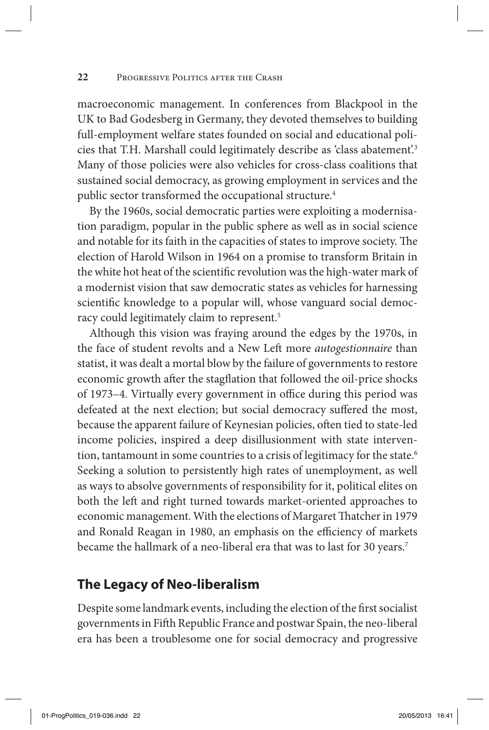### **22** Progressive Politics after the Crash

macroeconomic management. In conferences from Blackpool in the UK to Bad Godesberg in Germany, they devoted themselves to building full-employment welfare states founded on social and educational policies that T.H. Marshall could legitimately describe as 'class abatement'.3 Many of those policies were also vehicles for cross-class coalitions that sustained social democracy, as growing employment in services and the public sector transformed the occupational structure.<sup>4</sup>

By the 1960s, social democratic parties were exploiting a modernisation paradigm, popular in the public sphere as well as in social science and notable for its faith in the capacities of states to improve society. The election of Harold Wilson in 1964 on a promise to transform Britain in the white hot heat of the scientific revolution was the high-water mark of a modernist vision that saw democratic states as vehicles for harnessing scientific knowledge to a popular will, whose vanguard social democracy could legitimately claim to represent.5

Although this vision was fraying around the edges by the 1970s, in the face of student revolts and a New Left more *autogestionnaire* than statist, it was dealt a mortal blow by the failure of governments to restore economic growth after the stagflation that followed the oil-price shocks of 1973–4. Virtually every government in office during this period was defeated at the next election; but social democracy suffered the most, because the apparent failure of Keynesian policies, often tied to state-led income policies, inspired a deep disillusionment with state intervention, tantamount in some countries to a crisis of legitimacy for the state.<sup>6</sup> Seeking a solution to persistently high rates of unemployment, as well as ways to absolve governments of responsibility for it, political elites on both the left and right turned towards market-oriented approaches to economic management. With the elections of Margaret Thatcher in 1979 and Ronald Reagan in 1980, an emphasis on the efficiency of markets became the hallmark of a neo-liberal era that was to last for 30 years.<sup>7</sup>

## **The Legacy of Neo-liberalism**

Despite some landmark events, including the election of the first socialist governments in Fifth Republic France and postwar Spain, the neo-liberal era has been a troublesome one for social democracy and progressive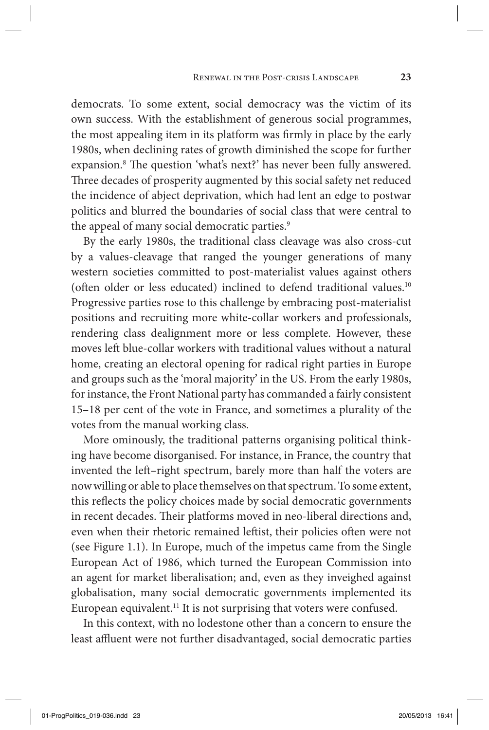democrats. To some extent, social democracy was the victim of its own success. With the establishment of generous social programmes, the most appealing item in its platform was firmly in place by the early 1980s, when declining rates of growth diminished the scope for further expansion.<sup>8</sup> The question 'what's next?' has never been fully answered. Three decades of prosperity augmented by this social safety net reduced the incidence of abject deprivation, which had lent an edge to postwar politics and blurred the boundaries of social class that were central to the appeal of many social democratic parties.<sup>9</sup>

By the early 1980s, the traditional class cleavage was also cross-cut by a values-cleavage that ranged the younger generations of many western societies committed to post-materialist values against others (often older or less educated) inclined to defend traditional values.10 Progressive parties rose to this challenge by embracing post-materialist positions and recruiting more white-collar workers and professionals, rendering class dealignment more or less complete. However, these moves left blue-collar workers with traditional values without a natural home, creating an electoral opening for radical right parties in Europe and groups such as the 'moral majority' in the US. From the early 1980s, for instance, the Front National party has commanded a fairly consistent 15–18 per cent of the vote in France, and sometimes a plurality of the votes from the manual working class.

More ominously, the traditional patterns organising political thinking have become disorganised. For instance, in France, the country that invented the left–right spectrum, barely more than half the voters are now willing or able to place themselves on that spectrum. To some extent, this reflects the policy choices made by social democratic governments in recent decades. Their platforms moved in neo-liberal directions and, even when their rhetoric remained leftist, their policies often were not (see Figure 1.1). In Europe, much of the impetus came from the Single European Act of 1986, which turned the European Commission into an agent for market liberalisation; and, even as they inveighed against globalisation, many social democratic governments implemented its European equivalent.<sup>11</sup> It is not surprising that voters were confused.

In this context, with no lodestone other than a concern to ensure the least affluent were not further disadvantaged, social democratic parties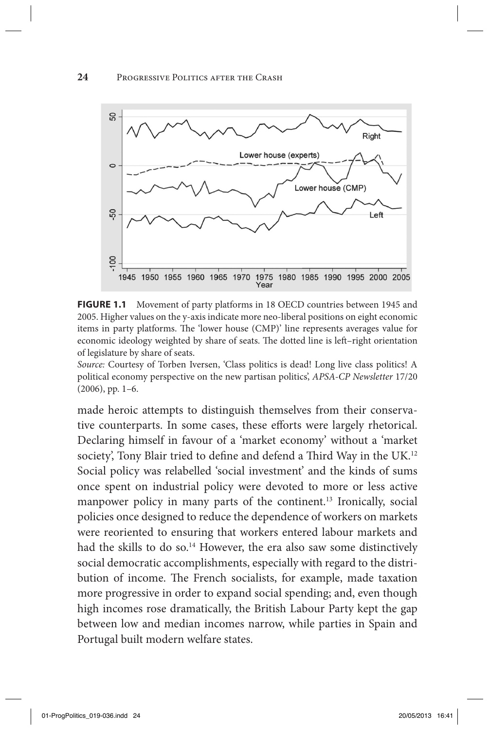

FIGURE 1.1 Movement of party platforms in 18 OECD countries between 1945 and 2005. Higher values on the y-axis indicate more neo-liberal positions on eight economic items in party platforms. The 'lower house (CMP)' line represents averages value for economic ideology weighted by share of seats. The dotted line is left–right orientation of legislature by share of seats.

*Source:* Courtesy of Torben Iversen, 'Class politics is dead! Long live class politics! A political economy perspective on the new partisan politics', *APSA-CP Newsletter* 17/20  $(2006)$ , pp. 1–6.

made heroic attempts to distinguish themselves from their conservative counterparts. In some cases, these efforts were largely rhetorical. Declaring himself in favour of a 'market economy' without a 'market society', Tony Blair tried to define and defend a Third Way in the UK.<sup>12</sup> Social policy was relabelled 'social investment' and the kinds of sums once spent on industrial policy were devoted to more or less active manpower policy in many parts of the continent.<sup>13</sup> Ironically, social policies once designed to reduce the dependence of workers on markets were reoriented to ensuring that workers entered labour markets and had the skills to do so.<sup>14</sup> However, the era also saw some distinctively social democratic accomplishments, especially with regard to the distribution of income. The French socialists, for example, made taxation more progressive in order to expand social spending; and, even though high incomes rose dramatically, the British Labour Party kept the gap between low and median incomes narrow, while parties in Spain and Portugal built modern welfare states.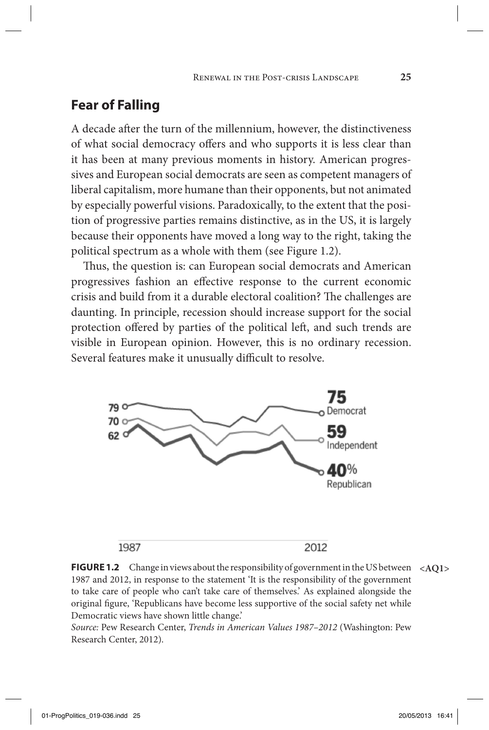# **Fear of Falling**

A decade after the turn of the millennium, however, the distinctiveness of what social democracy offers and who supports it is less clear than it has been at many previous moments in history. American progressives and European social democrats are seen as competent managers of liberal capitalism, more humane than their opponents, but not animated by especially powerful visions. Paradoxically, to the extent that the position of progressive parties remains distinctive, as in the US, it is largely because their opponents have moved a long way to the right, taking the political spectrum as a whole with them (see Figure 1.2).

Thus, the question is: can European social democrats and American progressives fashion an effective response to the current economic crisis and build from it a durable electoral coalition? The challenges are daunting. In principle, recession should increase support for the social protection offered by parties of the political left, and such trends are visible in European opinion. However, this is no ordinary recession. Several features make it unusually difficult to resolve.



**Figure 1.2** Change in views about the responsibility of government in the US between **<AQ1>** 1987 and 2012, in response to the statement 'It is the responsibility of the government to take care of people who can't take care of themselves.' As explained alongside the original figure, 'Republicans have become less supportive of the social safety net while Democratic views have shown little change.'

*Source:* Pew Research Center, *Trends in American Values 1987–2012* (Washington: Pew Research Center, 2012).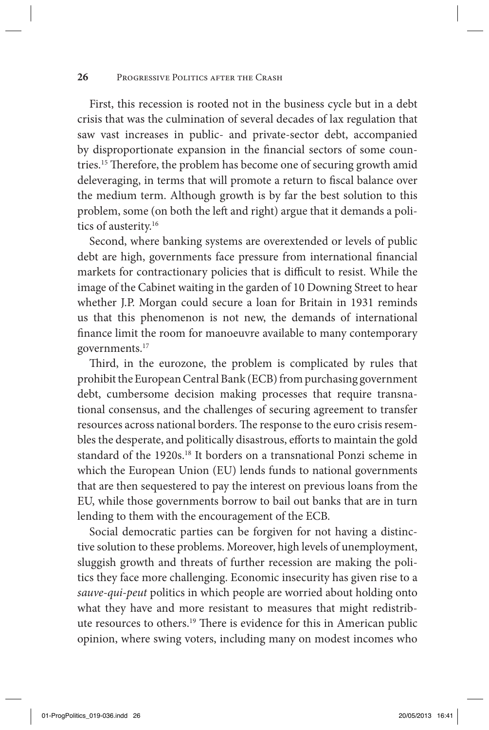### 26 PROGRESSIVE POLITICS AFTER THE CRASH

First, this recession is rooted not in the business cycle but in a debt crisis that was the culmination of several decades of lax regulation that saw vast increases in public- and private-sector debt, accompanied by disproportionate expansion in the financial sectors of some countries.15 Therefore, the problem has become one of securing growth amid deleveraging, in terms that will promote a return to fiscal balance over the medium term. Although growth is by far the best solution to this problem, some (on both the left and right) argue that it demands a politics of austerity.<sup>16</sup>

Second, where banking systems are overextended or levels of public debt are high, governments face pressure from international financial markets for contractionary policies that is difficult to resist. While the image of the Cabinet waiting in the garden of 10 Downing Street to hear whether J.P. Morgan could secure a loan for Britain in 1931 reminds us that this phenomenon is not new, the demands of international finance limit the room for manoeuvre available to many contemporary governments.17

Third, in the eurozone, the problem is complicated by rules that prohibit the European Central Bank (ECB) from purchasing government debt, cumbersome decision making processes that require transnational consensus, and the challenges of securing agreement to transfer resources across national borders. The response to the euro crisis resembles the desperate, and politically disastrous, efforts to maintain the gold standard of the 1920s.18 It borders on a transnational Ponzi scheme in which the European Union (EU) lends funds to national governments that are then sequestered to pay the interest on previous loans from the EU, while those governments borrow to bail out banks that are in turn lending to them with the encouragement of the ECB.

Social democratic parties can be forgiven for not having a distinctive solution to these problems. Moreover, high levels of unemployment, sluggish growth and threats of further recession are making the politics they face more challenging. Economic insecurity has given rise to a *sauve-qui-peut* politics in which people are worried about holding onto what they have and more resistant to measures that might redistribute resources to others.19 There is evidence for this in American public opinion, where swing voters, including many on modest incomes who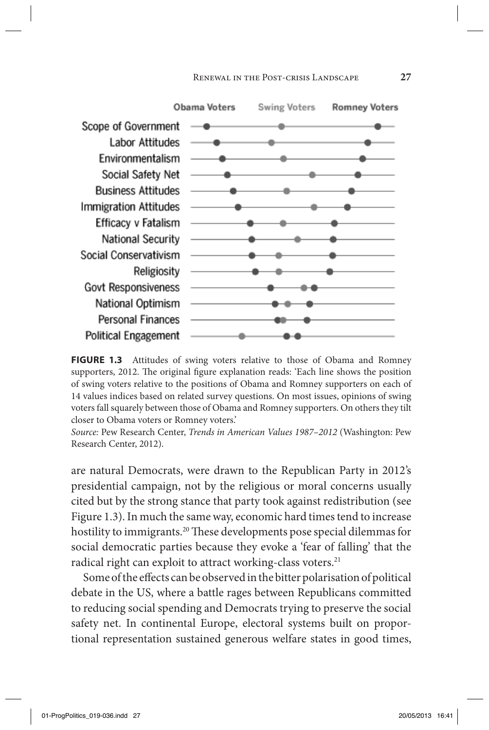#### Renewal in the Post-crisis Landscape **27**



FIGURE 1.3 Attitudes of swing voters relative to those of Obama and Romney supporters, 2012. The original figure explanation reads: 'Each line shows the position of swing voters relative to the positions of Obama and Romney supporters on each of 14 values indices based on related survey questions. On most issues, opinions of swing voters fall squarely between those of Obama and Romney supporters. On others they tilt closer to Obama voters or Romney voters.'

*Source:* Pew Research Center, *Trends in American Values 1987–2012* (Washington: Pew Research Center, 2012).

are natural Democrats, were drawn to the Republican Party in 2012's presidential campaign, not by the religious or moral concerns usually cited but by the strong stance that party took against redistribution (see Figure 1.3). In much the same way, economic hard times tend to increase hostility to immigrants.<sup>20</sup> These developments pose special dilemmas for social democratic parties because they evoke a 'fear of falling' that the radical right can exploit to attract working-class voters.<sup>21</sup>

Some of the effects can be observed in the bitter polarisation of political debate in the US, where a battle rages between Republicans committed to reducing social spending and Democrats trying to preserve the social safety net. In continental Europe, electoral systems built on proportional representation sustained generous welfare states in good times,

01-ProgPolitics\_019-036.indd 27 20/05/2013 16:41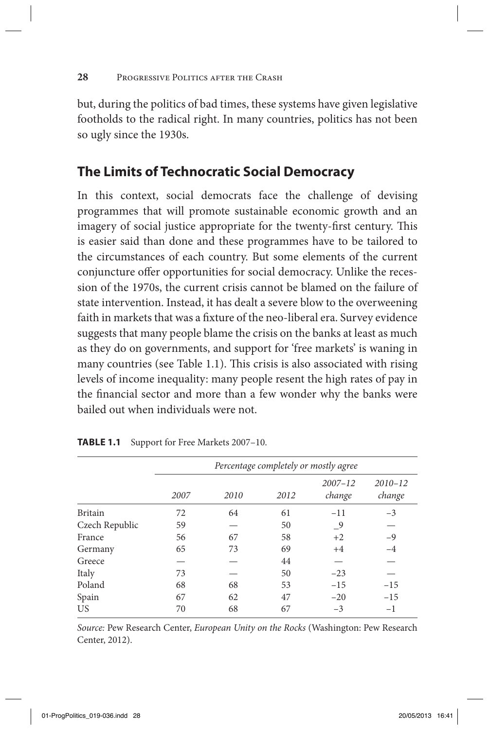but, during the politics of bad times, these systems have given legislative footholds to the radical right. In many countries, politics has not been so ugly since the 1930s.

# **The Limits of Technocratic Social Democracy**

In this context, social democrats face the challenge of devising programmes that will promote sustainable economic growth and an imagery of social justice appropriate for the twenty-first century. This is easier said than done and these programmes have to be tailored to the circumstances of each country. But some elements of the current conjuncture offer opportunities for social democracy. Unlike the recession of the 1970s, the current crisis cannot be blamed on the failure of state intervention. Instead, it has dealt a severe blow to the overweening faith in markets that was a fixture of the neo-liberal era. Survey evidence suggests that many people blame the crisis on the banks at least as much as they do on governments, and support for 'free markets' is waning in many countries (see Table 1.1). This crisis is also associated with rising levels of income inequality: many people resent the high rates of pay in the financial sector and more than a few wonder why the banks were bailed out when individuals were not.

|                | Percentage completely or mostly agree |      |      |                       |                       |
|----------------|---------------------------------------|------|------|-----------------------|-----------------------|
|                | 2007                                  | 2010 | 2012 | $2007 - 12$<br>change | $2010 - 12$<br>change |
| <b>Britain</b> | 72                                    | 64   | 61   | $-11$                 | $-3$                  |
| Czech Republic | 59                                    |      | 50   | _9                    |                       |
| France         | 56                                    | 67   | 58   | $+2$                  | $-9$                  |
| Germany        | 65                                    | 73   | 69   | $+4$                  | $-4$                  |
| Greece         |                                       |      | 44   |                       |                       |
| Italy          | 73                                    |      | 50   | $-23$                 |                       |
| Poland         | 68                                    | 68   | 53   | $-15$                 | $-15$                 |
| Spain          | 67                                    | 62   | 47   | $-20$                 | $-15$                 |
| US             | 70                                    | 68   | 67   | $-3$                  | $-1$                  |

**Table 1.1** Support for Free Markets 2007–10.

*Source:* Pew Research Center, *European Unity on the Rocks* (Washington: Pew Research Center, 2012).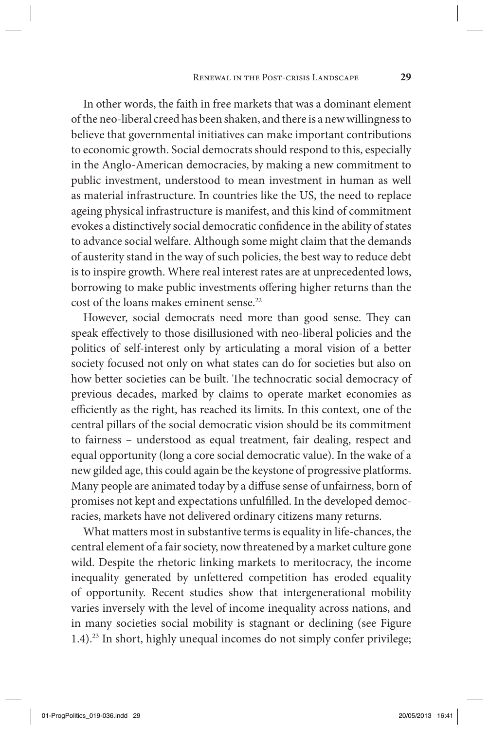In other words, the faith in free markets that was a dominant element of the neo-liberal creed has been shaken, and there is a new willingness to believe that governmental initiatives can make important contributions to economic growth. Social democrats should respond to this, especially in the Anglo-American democracies, by making a new commitment to public investment, understood to mean investment in human as well as material infrastructure. In countries like the US, the need to replace ageing physical infrastructure is manifest, and this kind of commitment evokes a distinctively social democratic confidence in the ability of states to advance social welfare. Although some might claim that the demands of austerity stand in the way of such policies, the best way to reduce debt is to inspire growth. Where real interest rates are at unprecedented lows, borrowing to make public investments offering higher returns than the cost of the loans makes eminent sense.<sup>22</sup>

However, social democrats need more than good sense. They can speak effectively to those disillusioned with neo-liberal policies and the politics of self-interest only by articulating a moral vision of a better society focused not only on what states can do for societies but also on how better societies can be built. The technocratic social democracy of previous decades, marked by claims to operate market economies as efficiently as the right, has reached its limits. In this context, one of the central pillars of the social democratic vision should be its commitment to fairness – understood as equal treatment, fair dealing, respect and equal opportunity (long a core social democratic value). In the wake of a new gilded age, this could again be the keystone of progressive platforms. Many people are animated today by a diffuse sense of unfairness, born of promises not kept and expectations unfulfilled. In the developed democracies, markets have not delivered ordinary citizens many returns.

What matters most in substantive terms is equality in life-chances, the central element of a fair society, now threatened by a market culture gone wild. Despite the rhetoric linking markets to meritocracy, the income inequality generated by unfettered competition has eroded equality of opportunity. Recent studies show that intergenerational mobility varies inversely with the level of income inequality across nations, and in many societies social mobility is stagnant or declining (see Figure 1.4).23 In short, highly unequal incomes do not simply confer privilege;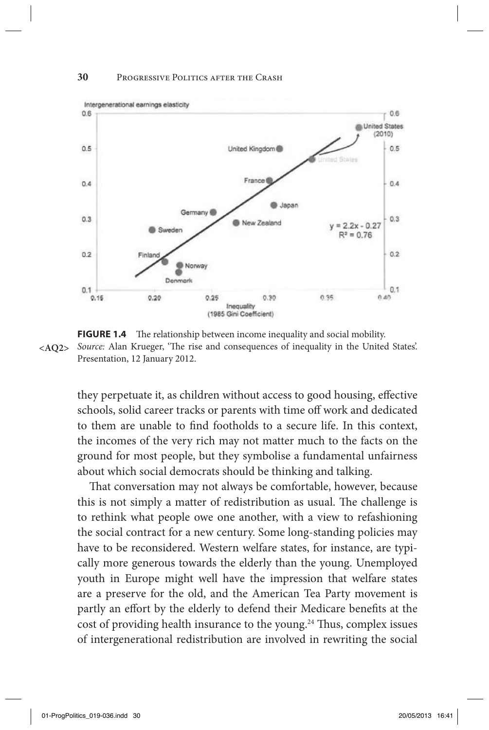### **30** Progressive Politics after the Crash



**FIGURE 1.4** The relationship between income inequality and social mobility. *Source:* Alan Krueger, 'The rise and consequences of inequality in the United States'. **<AQ2>** Presentation, 12 January 2012.

they perpetuate it, as children without access to good housing, effective schools, solid career tracks or parents with time off work and dedicated to them are unable to find footholds to a secure life. In this context, the incomes of the very rich may not matter much to the facts on the ground for most people, but they symbolise a fundamental unfairness about which social democrats should be thinking and talking.

That conversation may not always be comfortable, however, because this is not simply a matter of redistribution as usual. The challenge is to rethink what people owe one another, with a view to refashioning the social contract for a new century. Some long-standing policies may have to be reconsidered. Western welfare states, for instance, are typically more generous towards the elderly than the young. Unemployed youth in Europe might well have the impression that welfare states are a preserve for the old, and the American Tea Party movement is partly an effort by the elderly to defend their Medicare benefits at the cost of providing health insurance to the young.<sup>24</sup> Thus, complex issues of intergenerational redistribution are involved in rewriting the social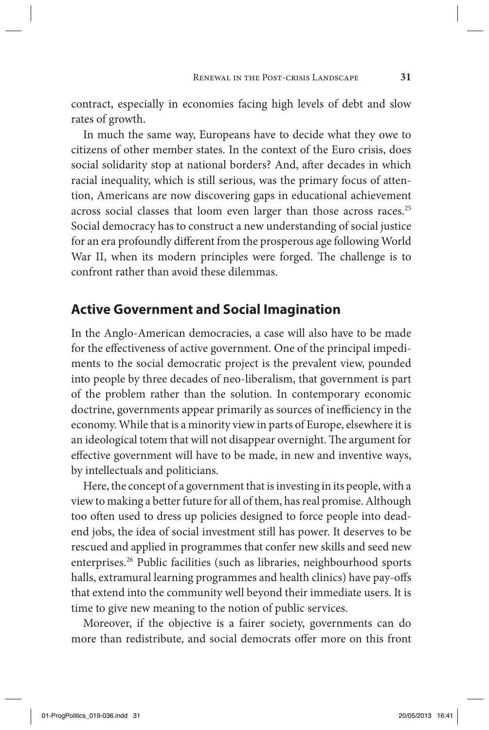contract, especially in economies facing high levels of debt and slow rates of growth.

In much the same way, Europeans have to decide what they owe to citizens of other member states. In the context of the Euro crisis, does social solidarity stop at national borders? And, after decades in which racial inequality, which is still serious, was the primary focus of attention, Americans are now discovering gaps in educational achievement across social classes that loom even larger than those across races.<sup>25</sup> Social democracy has to construct a new understanding of social justice for an era profoundly different from the prosperous age following World War II, when its modern principles were forged. The challenge is to confront rather than avoid these dilemmas.

### **Active Government and Social Imagination**

In the Anglo-American democracies, a case will also have to be made for the effectiveness of active government. One of the principal impediments to the social democratic project is the prevalent view, pounded into people by three decades of neo-liberalism, that government is part of the problem rather than the solution. In contemporary economic doctrine, governments appear primarily as sources of inefficiency in the economy. While that is a minority view in parts of Europe, elsewhere it is an ideological totem that will not disappear overnight. The argument for effective government will have to be made, in new and inventive ways, by intellectuals and politicians.

Here, the concept of a government that is investing in its people, with a view to making a better future for all of them, has real promise. Although too often used to dress up policies designed to force people into deadend jobs, the idea of social investment still has power. It deserves to be rescued and applied in programmes that confer new skills and seed new enterprises.26 Public facilities (such as libraries, neighbourhood sports halls, extramural learning programmes and health clinics) have pay-offs that extend into the community well beyond their immediate users. It is time to give new meaning to the notion of public services.

Moreover, if the objective is a fairer society, governments can do more than redistribute, and social democrats offer more on this front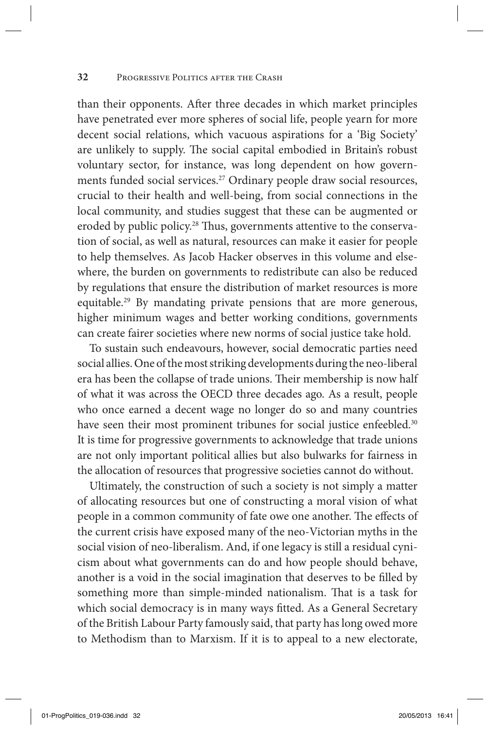### **32** Progressive Politics after the Crash

than their opponents. After three decades in which market principles have penetrated ever more spheres of social life, people yearn for more decent social relations, which vacuous aspirations for a 'Big Society' are unlikely to supply. The social capital embodied in Britain's robust voluntary sector, for instance, was long dependent on how governments funded social services.<sup>27</sup> Ordinary people draw social resources, crucial to their health and well-being, from social connections in the local community, and studies suggest that these can be augmented or eroded by public policy.<sup>28</sup> Thus, governments attentive to the conservation of social, as well as natural, resources can make it easier for people to help themselves. As Jacob Hacker observes in this volume and elsewhere, the burden on governments to redistribute can also be reduced by regulations that ensure the distribution of market resources is more equitable.29 By mandating private pensions that are more generous, higher minimum wages and better working conditions, governments can create fairer societies where new norms of social justice take hold.

To sustain such endeavours, however, social democratic parties need social allies. One of the most striking developments during the neo-liberal era has been the collapse of trade unions. Their membership is now half of what it was across the OECD three decades ago. As a result, people who once earned a decent wage no longer do so and many countries have seen their most prominent tribunes for social justice enfeebled.<sup>30</sup> It is time for progressive governments to acknowledge that trade unions are not only important political allies but also bulwarks for fairness in the allocation of resources that progressive societies cannot do without.

Ultimately, the construction of such a society is not simply a matter of allocating resources but one of constructing a moral vision of what people in a common community of fate owe one another. The effects of the current crisis have exposed many of the neo-Victorian myths in the social vision of neo-liberalism. And, if one legacy is still a residual cynicism about what governments can do and how people should behave, another is a void in the social imagination that deserves to be filled by something more than simple-minded nationalism. That is a task for which social democracy is in many ways fitted. As a General Secretary of the British Labour Party famously said, that party has long owed more to Methodism than to Marxism. If it is to appeal to a new electorate,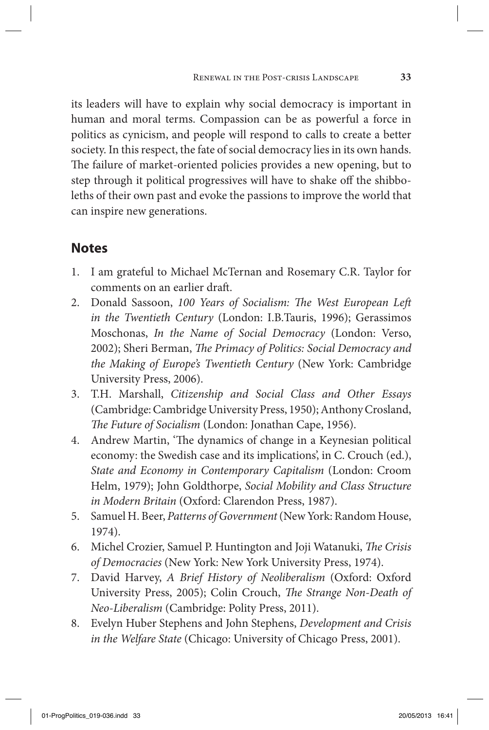its leaders will have to explain why social democracy is important in human and moral terms. Compassion can be as powerful a force in politics as cynicism, and people will respond to calls to create a better society. In this respect, the fate of social democracy lies in its own hands. The failure of market-oriented policies provides a new opening, but to step through it political progressives will have to shake off the shibboleths of their own past and evoke the passions to improve the world that can inspire new generations.

# **Notes**

- 1. I am grateful to Michael McTernan and Rosemary C.R. Taylor for comments on an earlier draft.
- 2. Donald Sassoon, *100 Years of Socialism: The West European Left in the Twentieth Century* (London: I.B.Tauris, 1996); Gerassimos Moschonas, *In the Name of Social Democracy* (London: Verso, 2002); Sheri Berman, *The Primacy of Politics: Social Democracy and the Making of Europe's Twentieth Century* (New York: Cambridge University Press, 2006).
- 3. T.H. Marshall, *Citizenship and Social Class and Other Essays* (Cambridge: Cambridge University Press, 1950); Anthony Crosland, *The Future of Socialism* (London: Jonathan Cape, 1956).
- 4. Andrew Martin, 'The dynamics of change in a Keynesian political economy: the Swedish case and its implications', in C. Crouch (ed.), *State and Economy in Contemporary Capitalism* (London: Croom Helm, 1979); John Goldthorpe, *Social Mobility and Class Structure in Modern Britain* (Oxford: Clarendon Press, 1987).
- 5. Samuel H. Beer, *Patterns of Government* (New York: Random House, 1974).
- 6. Michel Crozier, Samuel P. Huntington and Joji Watanuki, *The Crisis of Democracies* (New York: New York University Press, 1974).
- 7. David Harvey, *A Brief History of Neoliberalism* (Oxford: Oxford University Press, 2005); Colin Crouch, *The Strange Non-Death of Neo-Liberalism* (Cambridge: Polity Press, 2011).
- 8. Evelyn Huber Stephens and John Stephens, *Development and Crisis in the Welfare State* (Chicago: University of Chicago Press, 2001).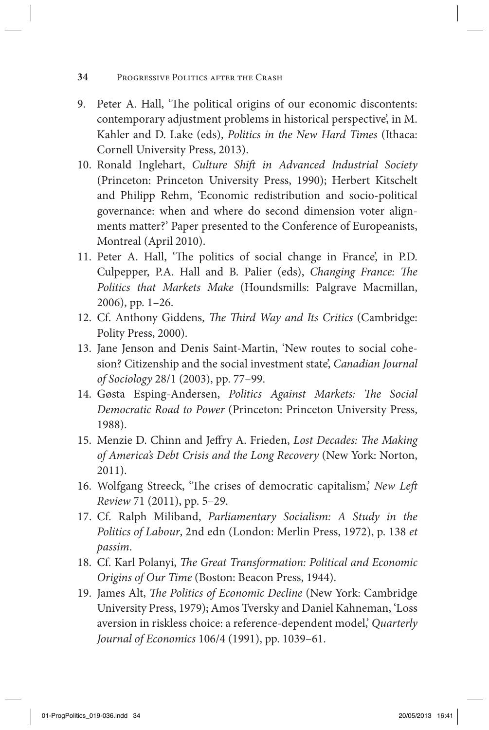- **34** Progressive Politics after the Crash
- 9. Peter A. Hall, 'The political origins of our economic discontents: contemporary adjustment problems in historical perspective', in M. Kahler and D. Lake (eds), *Politics in the New Hard Times* (Ithaca: Cornell University Press, 2013).
- 10. Ronald Inglehart, *Culture Shift in Advanced Industrial Society* (Princeton: Princeton University Press, 1990); Herbert Kitschelt and Philipp Rehm, 'Economic redistribution and socio-political governance: when and where do second dimension voter alignments matter?' Paper presented to the Conference of Europeanists, Montreal (April 2010).
- 11. Peter A. Hall, 'The politics of social change in France', in P.D. Culpepper, P.A. Hall and B. Palier (eds), *Changing France: The Politics that Markets Make* (Houndsmills: Palgrave Macmillan, 2006), pp. 1–26.
- 12. Cf. Anthony Giddens, *The Third Way and Its Critics* (Cambridge: Polity Press, 2000).
- 13. Jane Jenson and Denis Saint-Martin, 'New routes to social cohesion? Citizenship and the social investment state', *Canadian Journal of Sociology* 28/1 (2003), pp. 77–99.
- 14. Gøsta Esping-Andersen, *Politics Against Markets: The Social Democratic Road to Power* (Princeton: Princeton University Press, 1988).
- 15. Menzie D. Chinn and Jeffry A. Frieden, *Lost Decades: The Making of America's Debt Crisis and the Long Recovery* (New York: Norton, 2011).
- 16. Wolfgang Streeck, 'The crises of democratic capitalism,' *New Left Review* 71 (2011), pp. 5–29.
- 17. Cf. Ralph Miliband, *Parliamentary Socialism: A Study in the Politics of Labour*, 2nd edn (London: Merlin Press, 1972), p. 138 *et passim*.
- 18. Cf. Karl Polanyi, *The Great Transformation: Political and Economic Origins of Our Time* (Boston: Beacon Press, 1944).
- 19. James Alt, *The Politics of Economic Decline* (New York: Cambridge University Press, 1979); Amos Tversky and Daniel Kahneman, 'Loss aversion in riskless choice: a reference-dependent model,' *Quarterly Journal of Economics* 106/4 (1991), pp. 1039–61.